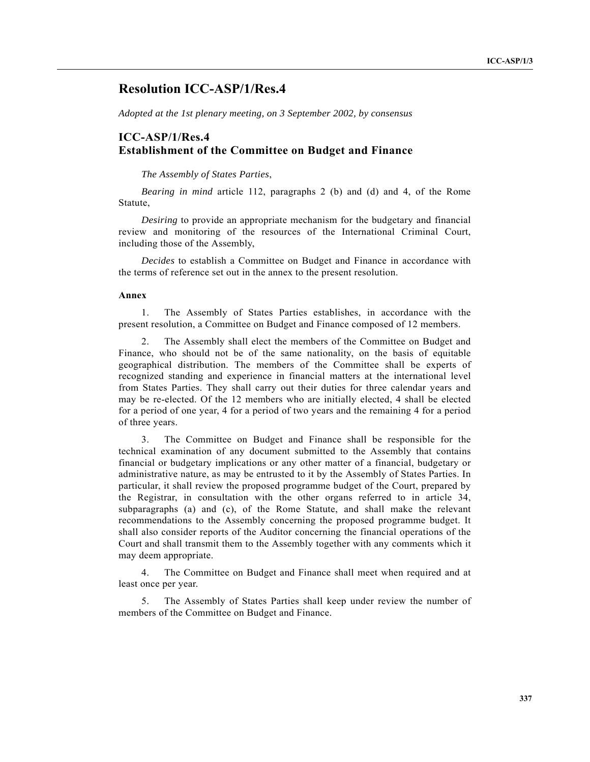# **Resolution ICC-ASP/1/Res.4**

*Adopted at the 1st plenary meeting, on 3 September 2002, by consensus*

## **ICC-ASP/1/Res.4 Establishment of the Committee on Budget and Finance**

*The Assembly of States Parties*,

*Bearing in mind* article 112, paragraphs 2 (b) and (d) and 4, of the Rome Statute,

*Desiring* to provide an appropriate mechanism for the budgetary and financial review and monitoring of the resources of the International Criminal Court, including those of the Assembly,

*Decides* to establish a Committee on Budget and Finance in accordance with the terms of reference set out in the annex to the present resolution.

### **Annex**

1. The Assembly of States Parties establishes, in accordance with the present resolution, a Committee on Budget and Finance composed of 12 members.

2. The Assembly shall elect the members of the Committee on Budget and Finance, who should not be of the same nationality, on the basis of equitable geographical distribution. The members of the Committee shall be experts of recognized standing and experience in financial matters at the international level from States Parties. They shall carry out their duties for three calendar years and may be re-elected. Of the 12 members who are initially elected, 4 shall be elected for a period of one year, 4 for a period of two years and the remaining 4 for a period of three years.

3. The Committee on Budget and Finance shall be responsible for the technical examination of any document submitted to the Assembly that contains financial or budgetary implications or any other matter of a financial, budgetary or administrative nature, as may be entrusted to it by the Assembly of States Parties. In particular, it shall review the proposed programme budget of the Court, prepared by the Registrar, in consultation with the other organs referred to in article 34, subparagraphs (a) and (c), of the Rome Statute, and shall make the relevant recommendations to the Assembly concerning the proposed programme budget. It shall also consider reports of the Auditor concerning the financial operations of the Court and shall transmit them to the Assembly together with any comments which it may deem appropriate.

4. The Committee on Budget and Finance shall meet when required and at least once per year.

5. The Assembly of States Parties shall keep under review the number of members of the Committee on Budget and Finance.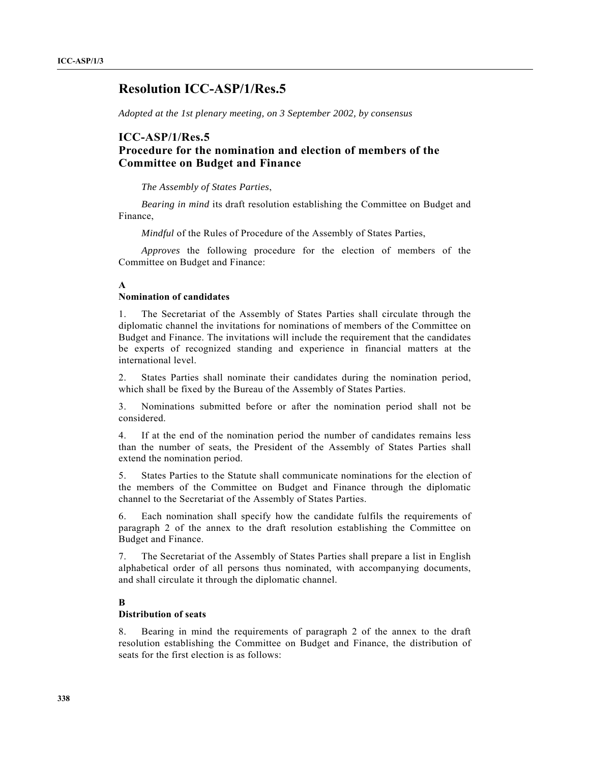# **Resolution ICC-ASP/1/Res.5**

*Adopted at the 1st plenary meeting, on 3 September 2002, by consensus*

## **ICC-ASP/1/Res.5**

## **Procedure for the nomination and election of members of the Committee on Budget and Finance**

*The Assembly of States Parties*,

*Bearing in mind* its draft resolution establishing the Committee on Budget and Finance,

*Mindful* of the Rules of Procedure of the Assembly of States Parties,

*Approves* the following procedure for the election of members of the Committee on Budget and Finance:

### **A**

#### **Nomination of candidates**

1. The Secretariat of the Assembly of States Parties shall circulate through the diplomatic channel the invitations for nominations of members of the Committee on Budget and Finance. The invitations will include the requirement that the candidates be experts of recognized standing and experience in financial matters at the international level.

2. States Parties shall nominate their candidates during the nomination period, which shall be fixed by the Bureau of the Assembly of States Parties.

3. Nominations submitted before or after the nomination period shall not be considered.

4. If at the end of the nomination period the number of candidates remains less than the number of seats, the President of the Assembly of States Parties shall extend the nomination period.

5. States Parties to the Statute shall communicate nominations for the election of the members of the Committee on Budget and Finance through the diplomatic channel to the Secretariat of the Assembly of States Parties.

6. Each nomination shall specify how the candidate fulfils the requirements of paragraph 2 of the annex to the draft resolution establishing the Committee on Budget and Finance.

7. The Secretariat of the Assembly of States Parties shall prepare a list in English alphabetical order of all persons thus nominated, with accompanying documents, and shall circulate it through the diplomatic channel.

### **B**

### **Distribution of seats**

8. Bearing in mind the requirements of paragraph 2 of the annex to the draft resolution establishing the Committee on Budget and Finance, the distribution of seats for the first election is as follows: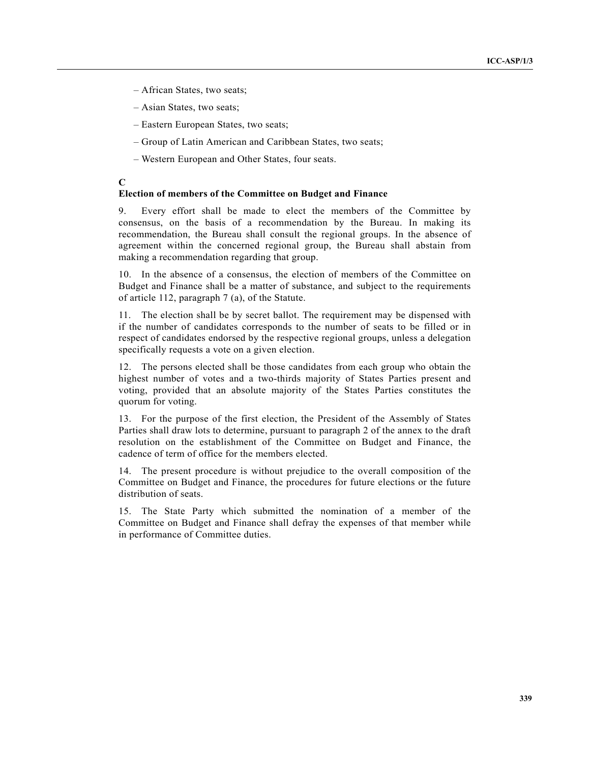- African States, two seats;
- Asian States, two seats;
- Eastern European States, two seats;
- Group of Latin American and Caribbean States, two seats;
- Western European and Other States, four seats.

### **C**

### **Election of members of the Committee on Budget and Finance**

9. Every effort shall be made to elect the members of the Committee by consensus, on the basis of a recommendation by the Bureau. In making its recommendation, the Bureau shall consult the regional groups. In the absence of agreement within the concerned regional group, the Bureau shall abstain from making a recommendation regarding that group.

10. In the absence of a consensus, the election of members of the Committee on Budget and Finance shall be a matter of substance, and subject to the requirements of article 112, paragraph 7 (a), of the Statute.

11. The election shall be by secret ballot. The requirement may be dispensed with if the number of candidates corresponds to the number of seats to be filled or in respect of candidates endorsed by the respective regional groups, unless a delegation specifically requests a vote on a given election.

12. The persons elected shall be those candidates from each group who obtain the highest number of votes and a two-thirds majority of States Parties present and voting, provided that an absolute majority of the States Parties constitutes the quorum for voting.

13. For the purpose of the first election, the President of the Assembly of States Parties shall draw lots to determine, pursuant to paragraph 2 of the annex to the draft resolution on the establishment of the Committee on Budget and Finance, the cadence of term of office for the members elected.

14. The present procedure is without prejudice to the overall composition of the Committee on Budget and Finance, the procedures for future elections or the future distribution of seats.

15. The State Party which submitted the nomination of a member of the Committee on Budget and Finance shall defray the expenses of that member while in performance of Committee duties.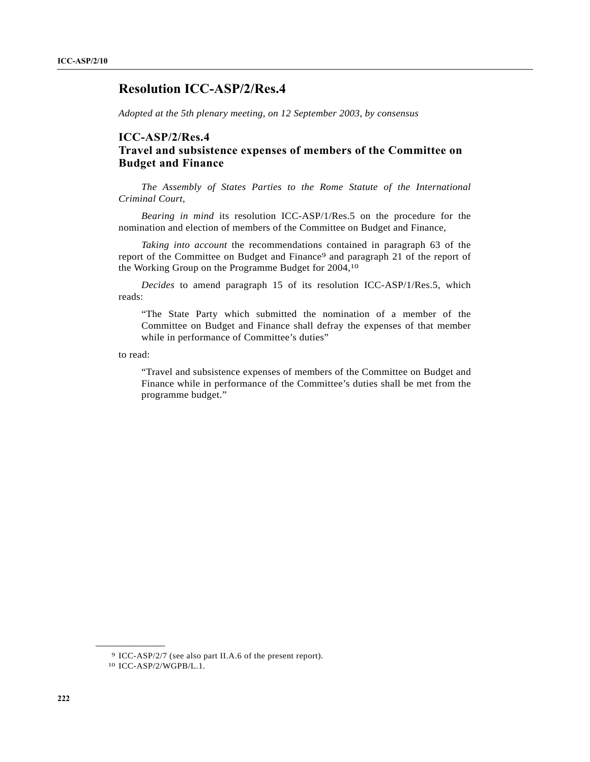# **Resolution ICC-ASP/2/Res.4**

*Adopted at the 5th plenary meeting, on 12 September 2003, by consensus*

## **ICC-ASP/2/Res.4 Travel and subsistence expenses of members of the Committee on Budget and Finance**

*The Assembly of States Parties to the Rome Statute of the International Criminal Court*,

*Bearing in mind* its resolution ICC-ASP/1/Res.5 on the procedure for the nomination and election of members of the Committee on Budget and Finance,

*Taking into account* the recommendations contained in paragraph 63 of the report of the Committee on Budget and Finance9 and paragraph 21 of the report of the Working Group on the Programme Budget for 2004,10

*Decides* to amend paragraph 15 of its resolution ICC-ASP/1/Res.5, which reads:

"The State Party which submitted the nomination of a member of the Committee on Budget and Finance shall defray the expenses of that member while in performance of Committee's duties"

to read:

"Travel and subsistence expenses of members of the Committee on Budget and Finance while in performance of the Committee's duties shall be met from the programme budget."

**\_\_\_\_\_\_\_\_\_\_\_\_\_\_\_\_\_\_**

<sup>9</sup> ICC-ASP/2/7 (see also part II.A.6 of the present report).

<sup>10</sup> ICC-ASP/2/WGPB/L.1.